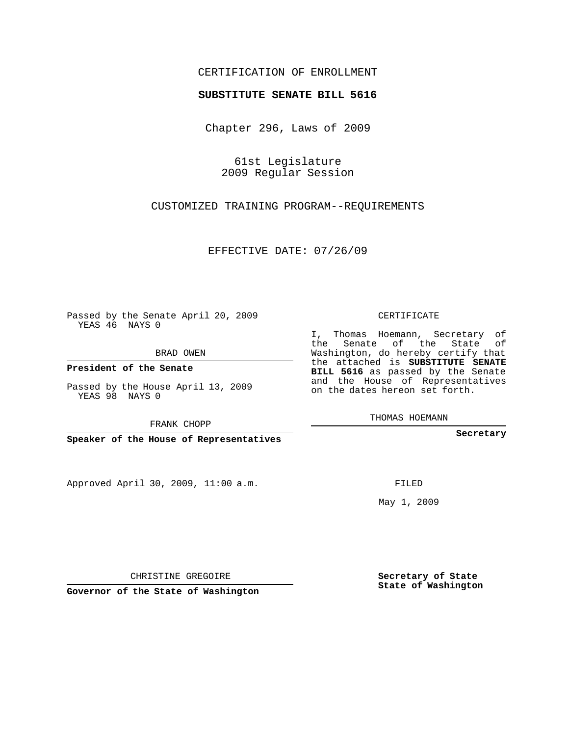## CERTIFICATION OF ENROLLMENT

## **SUBSTITUTE SENATE BILL 5616**

Chapter 296, Laws of 2009

61st Legislature 2009 Regular Session

CUSTOMIZED TRAINING PROGRAM--REQUIREMENTS

EFFECTIVE DATE: 07/26/09

Passed by the Senate April 20, 2009 YEAS 46 NAYS 0

BRAD OWEN

**President of the Senate**

Passed by the House April 13, 2009 YEAS 98 NAYS 0

FRANK CHOPP

**Speaker of the House of Representatives**

Approved April 30, 2009, 11:00 a.m.

CERTIFICATE

I, Thomas Hoemann, Secretary of the Senate of the State of Washington, do hereby certify that the attached is **SUBSTITUTE SENATE BILL 5616** as passed by the Senate and the House of Representatives on the dates hereon set forth.

THOMAS HOEMANN

**Secretary**

FILED

May 1, 2009

**Secretary of State State of Washington**

CHRISTINE GREGOIRE

**Governor of the State of Washington**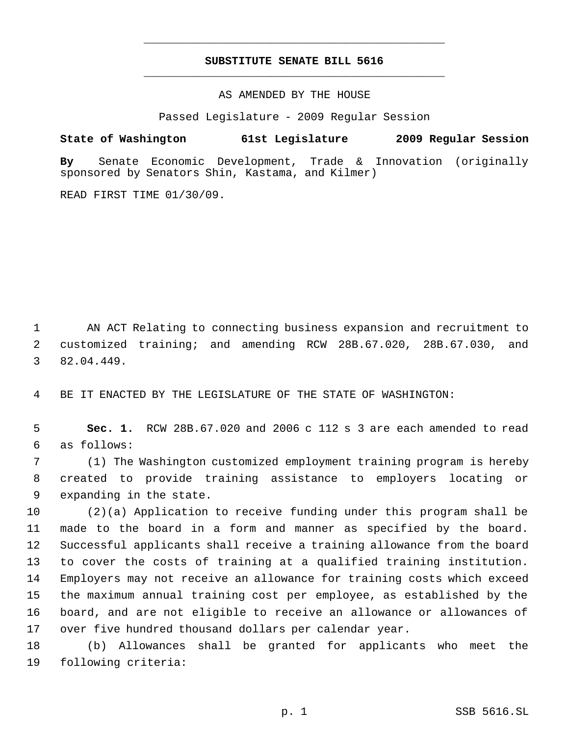## **SUBSTITUTE SENATE BILL 5616** \_\_\_\_\_\_\_\_\_\_\_\_\_\_\_\_\_\_\_\_\_\_\_\_\_\_\_\_\_\_\_\_\_\_\_\_\_\_\_\_\_\_\_\_\_

\_\_\_\_\_\_\_\_\_\_\_\_\_\_\_\_\_\_\_\_\_\_\_\_\_\_\_\_\_\_\_\_\_\_\_\_\_\_\_\_\_\_\_\_\_

AS AMENDED BY THE HOUSE

Passed Legislature - 2009 Regular Session

**State of Washington 61st Legislature 2009 Regular Session By** Senate Economic Development, Trade & Innovation (originally sponsored by Senators Shin, Kastama, and Kilmer)

READ FIRST TIME 01/30/09.

 AN ACT Relating to connecting business expansion and recruitment to customized training; and amending RCW 28B.67.020, 28B.67.030, and 82.04.449.

BE IT ENACTED BY THE LEGISLATURE OF THE STATE OF WASHINGTON:

 **Sec. 1.** RCW 28B.67.020 and 2006 c 112 s 3 are each amended to read as follows:

 (1) The Washington customized employment training program is hereby created to provide training assistance to employers locating or expanding in the state.

 (2)(a) Application to receive funding under this program shall be made to the board in a form and manner as specified by the board. Successful applicants shall receive a training allowance from the board to cover the costs of training at a qualified training institution. Employers may not receive an allowance for training costs which exceed the maximum annual training cost per employee, as established by the board, and are not eligible to receive an allowance or allowances of over five hundred thousand dollars per calendar year.

 (b) Allowances shall be granted for applicants who meet the following criteria: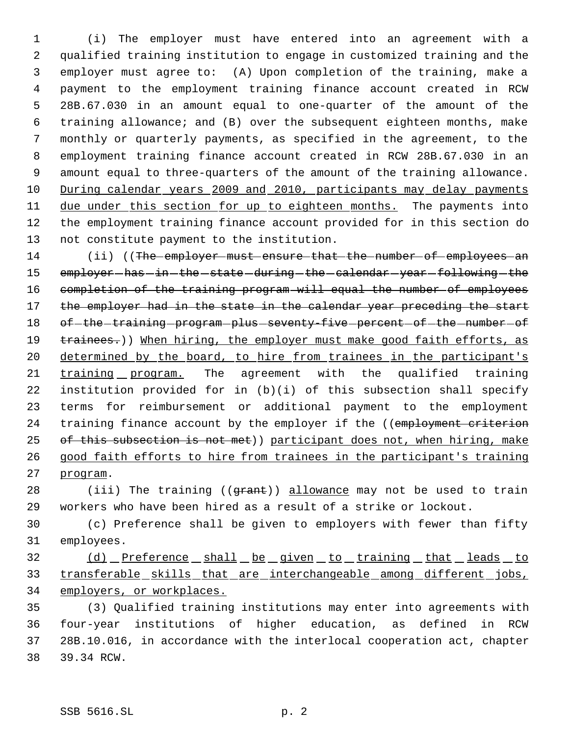(i) The employer must have entered into an agreement with a qualified training institution to engage in customized training and the employer must agree to: (A) Upon completion of the training, make a payment to the employment training finance account created in RCW 28B.67.030 in an amount equal to one-quarter of the amount of the training allowance; and (B) over the subsequent eighteen months, make monthly or quarterly payments, as specified in the agreement, to the employment training finance account created in RCW 28B.67.030 in an amount equal to three-quarters of the amount of the training allowance. During calendar years 2009 and 2010, participants may delay payments 11 due under this section for up to eighteen months. The payments into the employment training finance account provided for in this section do not constitute payment to the institution.

14 (ii) ((The employer must ensure that the number of employees an 15 employer-has-in-the-state-during-the-calendar-year-following-the 16 completion of the training program will equal the number of employees 17 the employer had in the state in the calendar year preceding the start 18 of-the-training-program-plus-seventy-five-percent-of-the-number-of 19 trainees.)) When hiring, the employer must make good faith efforts, as 20 determined by the board, to hire from trainees in the participant's training program. The agreement with the qualified training institution provided for in (b)(i) of this subsection shall specify terms for reimbursement or additional payment to the employment 24 training finance account by the employer if the ((employment criterion 25 of this subsection is not met)) participant does not, when hiring, make good faith efforts to hire from trainees in the participant's training program.

28 (iii) The training ((grant)) allowance may not be used to train workers who have been hired as a result of a strike or lockout.

 (c) Preference shall be given to employers with fewer than fifty employees.

32 (d) Preference shall be given to training that leads to 33 transferable skills that are interchangeable among different jobs, employers, or workplaces.

 (3) Qualified training institutions may enter into agreements with four-year institutions of higher education, as defined in RCW 28B.10.016, in accordance with the interlocal cooperation act, chapter 39.34 RCW.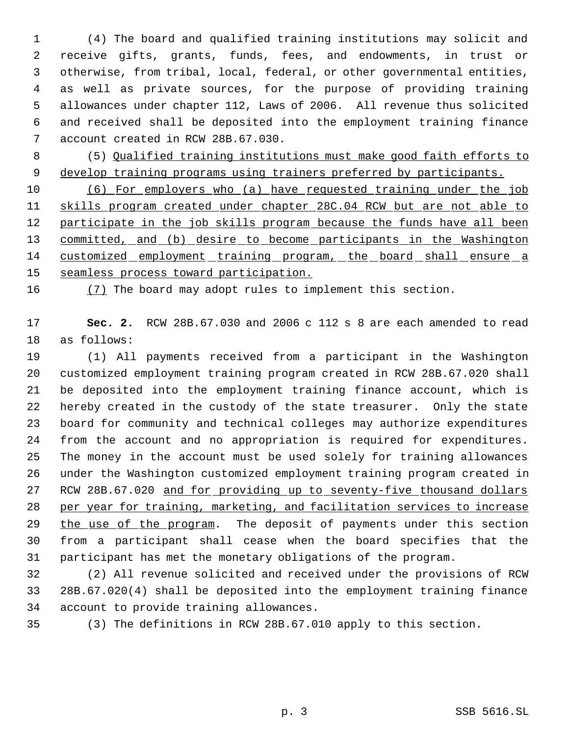(4) The board and qualified training institutions may solicit and receive gifts, grants, funds, fees, and endowments, in trust or otherwise, from tribal, local, federal, or other governmental entities, as well as private sources, for the purpose of providing training allowances under chapter 112, Laws of 2006. All revenue thus solicited and received shall be deposited into the employment training finance account created in RCW 28B.67.030.

 (5) Qualified training institutions must make good faith efforts to 9 develop training programs using trainers preferred by participants.

 (6) For employers who (a) have requested training under the job skills program created under chapter 28C.04 RCW but are not able to 12 participate in the job skills program because the funds have all been 13 committed, and (b) desire to become participants in the Washington customized employment training program, the board shall ensure a seamless process toward participation.

(7) The board may adopt rules to implement this section.

 **Sec. 2.** RCW 28B.67.030 and 2006 c 112 s 8 are each amended to read as follows:

 (1) All payments received from a participant in the Washington customized employment training program created in RCW 28B.67.020 shall be deposited into the employment training finance account, which is hereby created in the custody of the state treasurer. Only the state board for community and technical colleges may authorize expenditures from the account and no appropriation is required for expenditures. The money in the account must be used solely for training allowances under the Washington customized employment training program created in 27 RCW 28B.67.020 and for providing up to seventy-five thousand dollars per year for training, marketing, and facilitation services to increase 29 the use of the program. The deposit of payments under this section from a participant shall cease when the board specifies that the participant has met the monetary obligations of the program.

 (2) All revenue solicited and received under the provisions of RCW 28B.67.020(4) shall be deposited into the employment training finance account to provide training allowances.

(3) The definitions in RCW 28B.67.010 apply to this section.